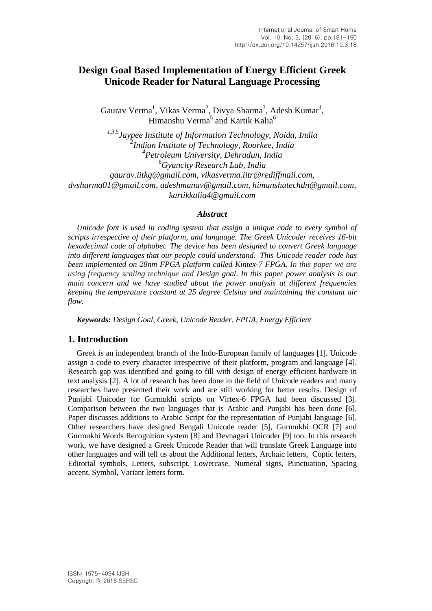# **Design Goal Based Implementation of Energy Efficient Greek Unicode Reader for Natural Language Processing**

Gaurav Verma<sup>1</sup>, Vikas Verma<sup>2</sup>, Divya Sharma<sup>3</sup>, Adesh Kumar<sup>4</sup>, Himanshu Verma<sup>5</sup> and Kartik Kalia<sup>6</sup>

*1,3,5 Jaypee Institute of Information Technology, Noida, India 2 Indian Institute of Technology, Roorkee, India 4 Petroleum University, Dehradun, India <sup>6</sup>Gyancity Research Lab, India gaurav.iitkg@gmail.com, vikasverma.iitr@rediffmail.com, dvsharma01@gmail.com, adeshmanav@gmail.com, [himanshutechdn@gmail.com,](mailto:himanshutechdn@gmail.com) kartikkalia4@gmail.com*

#### *Abstract*

*Unicode font is used in coding system that assign a unique code to every symbol of scripts irrespective of their platform, and language. The Greek Unicoder receives 16-bit hexadecimal code of alphabet. The device has been designed to convert Greek language into different languages that our people could understand. This Unicode reader code has been implemented on 28nm FPGA platform called Kintex-7 FPGA. In this paper we are using frequency scaling technique and Design goal. In this paper power analysis is our main concern and we have studied about the power analysis at different frequencies keeping the temperature constant at 25 degree Celsius and maintaining the constant air flow*.

*Keywords: Design Goal, Greek, Unicode Reader, FPGA, Energy Efficient*

## **1. Introduction**

Greek is an independent branch of the [Indo-European](http://en.wikipedia.org/wiki/Indo-European_languages) family of languages [1]. Unicode assign a code to every character irrespective of their platform, program and language [4]. Research gap was identified and going to fill with design of energy efficient hardware in text analysis [2]. A lot of research has been done in the field of Unicode readers and many researches have presented their work and are still working for better results. Design of Punjabi Unicoder for Gurmukhi scripts on Virtex-6 FPGA had been discussed [3]. Comparison between the two languages that is Arabic and Punjabi has been done [6]. Paper discusses additions to Arabic Script for the representation of Punjabi language [6]. Other researchers have designed Bengali Unicode reader [5], Gurmukhi OCR [7] and Gurmukhi Words Recognition system [8] and Devnagari Unicoder [9] too. In this research work, we have designed a Greek Unicode Reader that will translate Greek Language into other languages and will tell us about the Additional letters, Archaic letters, Coptic letters, Editorial symbols, Letters, subscript, Lowercase, Numeral signs, Punctuation, Spacing accent, Symbol, Variant letters form.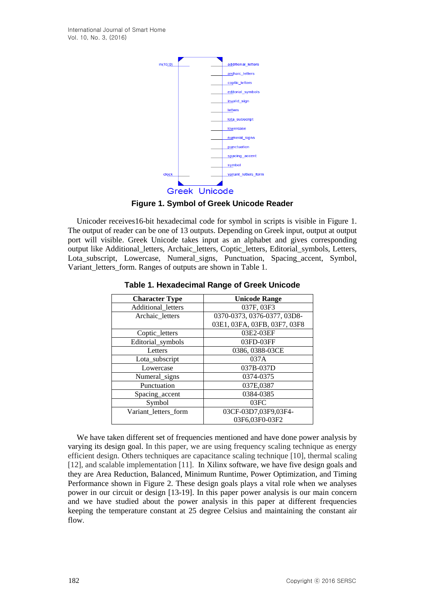

**Figure 1. Symbol of Greek Unicode Reader**

Unicoder receives16-bit hexadecimal code for symbol in scripts is visible in Figure 1. The output of reader can be one of 13 outputs. Depending on Greek input, output at output port will visible. Greek Unicode takes input as an alphabet and gives corresponding output like Additional\_letters, Archaic\_letters, Coptic\_letters, Editorial\_symbols, Letters, Lota\_subscript, Lowercase, Numeral\_signs, Punctuation, Spacing\_accent, Symbol, Variant\_letters\_form. Ranges of outputs are shown in Table 1.

| <b>Character Type</b> | <b>Unicode Range</b>         |
|-----------------------|------------------------------|
| Additional_letters    | 037F, 03F3                   |
| Archaic letters       | 0370-0373, 0376-0377, 03D8-  |
|                       | 03E1, 03FA, 03FB, 03F7, 03F8 |
| Coptic_letters        | 03E2-03EF                    |
| Editorial_symbols     | 03FD-03FF                    |
| Letters               | 0386, 0388-03CE              |
| Lota_subscript        | 037A                         |
| Lowercase             | 037B-037D                    |
| Numeral_signs         | 0374-0375                    |
| Punctuation           | 037E,0387                    |
| Spacing_accent        | 0384-0385                    |
| Symbol                | 03FC                         |
| Variant letters form  | 03CF-03D7,03F9,03F4-         |
|                       | 03F6,03F0-03F2               |

**Table 1. Hexadecimal Range of Greek Unicode**

We have taken different set of frequencies mentioned and have done power analysis by varying its design goal. In this paper, we are using frequency scaling technique as energy efficient design. Others techniques are capacitance scaling technique [10], thermal scaling [12], and scalable implementation [11]. In Xilinx software, we have five design goals and they are Area Reduction, Balanced, Minimum Runtime, Power Optimization, and Timing Performance shown in Figure 2. These design goals plays a vital role when we analyses power in our circuit or design [13-19]. In this paper power analysis is our main concern and we have studied about the power analysis in this paper at different frequencies keeping the temperature constant at 25 degree Celsius and maintaining the constant air flow.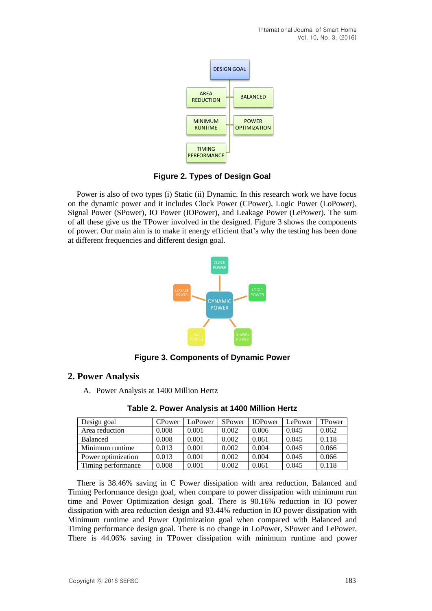

**Figure 2. Types of Design Goal**

Power is also of two types (i) Static (ii) Dynamic. In this research work we have focus on the dynamic power and it includes Clock Power (CPower), Logic Power (LoPower), Signal Power (SPower), IO Power (IOPower), and Leakage Power (LePower). The sum of all these give us the TPower involved in the designed. Figure 3 shows the components of power. Our main aim is to make it energy efficient that's why the testing has been done at different frequencies and different design goal.



**Figure 3. Components of Dynamic Power**

# **2. Power Analysis**

A. Power Analysis at 1400 Million Hertz

| Design goal        | CPower | ∟oPower | SPower | <b>IOPower</b> | LePower | TPower |
|--------------------|--------|---------|--------|----------------|---------|--------|
| Area reduction     | 0.008  | 0.001   | 0.002  | 0.006          | 0.045   | 0.062  |
| <b>Balanced</b>    | 0.008  | 0.001   | 0.002  | 0.061          | 0.045   | 0.118  |
| Minimum runtime    | 0.013  | 0.001   | 0.002  | 0.004          | 0.045   | 0.066  |
| Power optimization | 0.013  | 0.001   | 0.002  | 0.004          | 0.045   | 0.066  |
| Timing performance | 0.008  | 0.001   | 0.002  | 0.061          | 0.045   | 0.118  |

**Table 2. Power Analysis at 1400 Million Hertz**

There is 38.46% saving in C Power dissipation with area reduction, Balanced and Timing Performance design goal, when compare to power dissipation with minimum run time and Power Optimization design goal. There is 90.16% reduction in IO power dissipation with area reduction design and 93.44% reduction in IO power dissipation with Minimum runtime and Power Optimization goal when compared with Balanced and Timing performance design goal. There is no change in LoPower, SPower and LePower. There is 44.06% saving in TPower dissipation with minimum runtime and power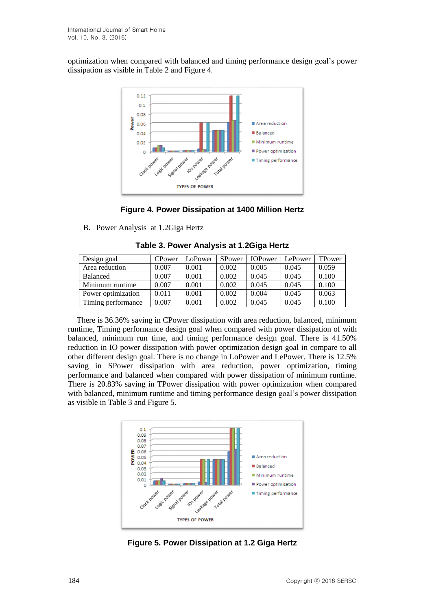optimization when compared with balanced and timing performance design goal's power dissipation as visible in Table 2 and Figure 4.



**Figure 4. Power Dissipation at 1400 Million Hertz**

B. Power Analysis at 1.2Giga Hertz

| Design goal        | CPower | LoPower | SPower | <b>IOP</b> ower | LePower | TPower |
|--------------------|--------|---------|--------|-----------------|---------|--------|
| Area reduction     | 0.007  | 0.001   | 0.002  | 0.005           | 0.045   | 0.059  |
| <b>Balanced</b>    | 0.007  | 0.001   | 0.002  | 0.045           | 0.045   | 0.100  |
| Minimum runtime    | 0.007  | 0.001   | 0.002  | 0.045           | 0.045   | 0.100  |
| Power optimization | 0.011  | 0.001   | 0.002  | 0.004           | 0.045   | 0.063  |
| Timing performance | 0.007  | 0.001   | 0.002  | 0.045           | 0.045   | 0.100  |

**Table 3. Power Analysis at 1.2Giga Hertz**

There is 36.36% saving in CPower dissipation with area reduction, balanced, minimum runtime, Timing performance design goal when compared with power dissipation of with balanced, minimum run time, and timing performance design goal. There is 41.50% reduction in IO power dissipation with power optimization design goal in compare to all other different design goal. There is no change in LoPower and LePower. There is 12.5% saving in SPower dissipation with area reduction, power optimization, timing performance and balanced when compared with power dissipation of minimum runtime. There is 20.83% saving in TPower dissipation with power optimization when compared with balanced, minimum runtime and timing performance design goal's power dissipation as visible in Table 3 and Figure 5.



**Figure 5. Power Dissipation at 1.2 Giga Hertz**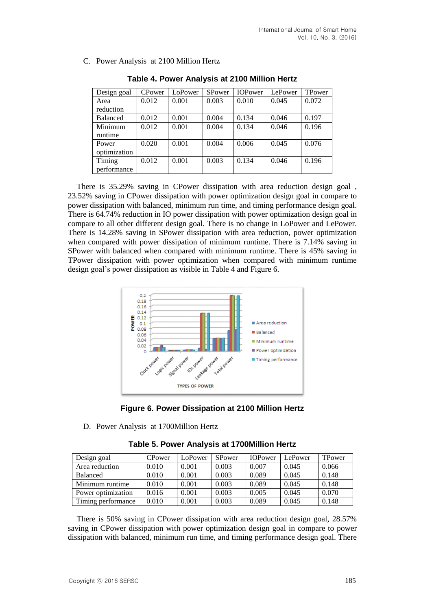C. Power Analysis at 2100 Million Hertz

| Design goal     | CPower | LoPower | SPower | <b>IOPower</b> | LePower | TPower |
|-----------------|--------|---------|--------|----------------|---------|--------|
| Area            | 0.012  | 0.001   | 0.003  | 0.010          | 0.045   | 0.072  |
| reduction       |        |         |        |                |         |        |
| <b>Balanced</b> | 0.012  | 0.001   | 0.004  | 0.134          | 0.046   | 0.197  |
| Minimum         | 0.012  | 0.001   | 0.004  | 0.134          | 0.046   | 0.196  |
| runtime         |        |         |        |                |         |        |
| Power           | 0.020  | 0.001   | 0.004  | 0.006          | 0.045   | 0.076  |
| optimization    |        |         |        |                |         |        |
| Timing          | 0.012  | 0.001   | 0.003  | 0.134          | 0.046   | 0.196  |
| performance     |        |         |        |                |         |        |

**Table 4. Power Analysis at 2100 Million Hertz**

There is 35.29% saving in CPower dissipation with area reduction design goal , 23.52% saving in CPower dissipation with power optimization design goal in compare to power dissipation with balanced, minimum run time, and timing performance design goal. There is 64.74% reduction in IO power dissipation with power optimization design goal in compare to all other different design goal. There is no change in LoPower and LePower. There is 14.28% saving in SPower dissipation with area reduction, power optimization when compared with power dissipation of minimum runtime. There is 7.14% saving in SPower with balanced when compared with minimum runtime. There is 45% saving in TPower dissipation with power optimization when compared with minimum runtime design goal's power dissipation as visible in Table 4 and Figure 6.





D. Power Analysis at 1700Million Hertz

| Design goal        | CPower | LoPower | SPower | <b>IOPower</b> | LePower | TPower |
|--------------------|--------|---------|--------|----------------|---------|--------|
| Area reduction     | 0.010  | 0.001   | 0.003  | 0.007          | 0.045   | 0.066  |
| <b>Balanced</b>    | 0.010  | 0.001   | 0.003  | 0.089          | 0.045   | 0.148  |
| Minimum runtime    | 0.010  | 0.001   | 0.003  | 0.089          | 0.045   | 0.148  |
| Power optimization | 0.016  | 0.001   | 0.003  | 0.005          | 0.045   | 0.070  |
| Timing performance | 0.010  | 0.001   | 0.003  | 0.089          | 0.045   | 0.148  |

**Table 5. Power Analysis at 1700Million Hertz**

There is 50% saving in CPower dissipation with area reduction design goal, 28.57% saving in CPower dissipation with power optimization design goal in compare to power dissipation with balanced, minimum run time, and timing performance design goal. There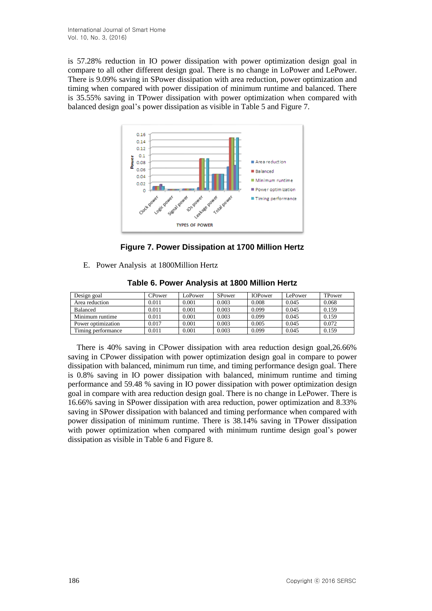is 57.28% reduction in IO power dissipation with power optimization design goal in compare to all other different design goal. There is no change in LoPower and LePower. There is 9.09% saving in SPower dissipation with area reduction, power optimization and timing when compared with power dissipation of minimum runtime and balanced. There is 35.55% saving in TPower dissipation with power optimization when compared with balanced design goal's power dissipation as visible in Table 5 and Figure 7.



**Figure 7. Power Dissipation at 1700 Million Hertz**

E. Power Analysis at 1800Million Hertz

| Design goal        | CPower | LoPower | SPower | <b>IOPower</b> | LePower | TPower |
|--------------------|--------|---------|--------|----------------|---------|--------|
| Area reduction     | 0.011  | 0.001   | 0.003  | 0.008          | 0.045   | 0.068  |
| <b>Balanced</b>    | 0.011  | 0.001   | 0.003  | 0.099          | 0.045   | 0.159  |
| Minimum runtime    | 0.011  | 0.001   | 0.003  | 0.099          | 0.045   | 0.159  |
| Power optimization | 0.017  | 0.001   | 0.003  | 0.005          | 0.045   | 0.072  |
| Timing performance | 0.011  | 0.001   | 0.003  | 0.099          | 0.045   | 0.159  |

**Table 6. Power Analysis at 1800 Million Hertz**

There is 40% saving in CPower dissipation with area reduction design goal,26.66% saving in CPower dissipation with power optimization design goal in compare to power dissipation with balanced, minimum run time, and timing performance design goal. There is 0.8% saving in IO power dissipation with balanced, minimum runtime and timing performance and 59.48 % saving in IO power dissipation with power optimization design goal in compare with area reduction design goal. There is no change in LePower. There is 16.66% saving in SPower dissipation with area reduction, power optimization and 8.33% saving in SPower dissipation with balanced and timing performance when compared with power dissipation of minimum runtime. There is 38.14% saving in TPower dissipation with power optimization when compared with minimum runtime design goal's power dissipation as visible in Table 6 and Figure 8.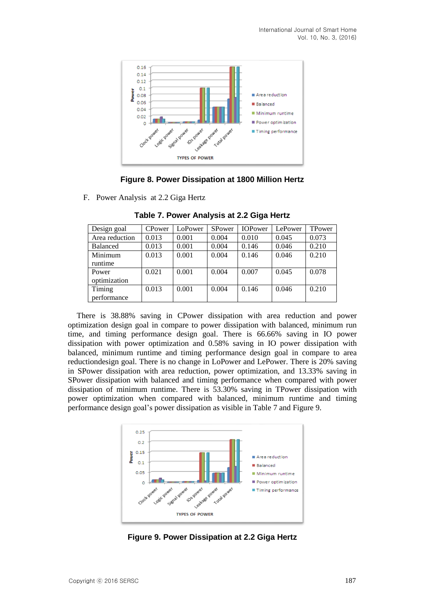

#### **Figure 8. Power Dissipation at 1800 Million Hertz**

F. Power Analysis at 2.2 Giga Hertz

| Design goal     | CPower | LoPower | SPower | <b>IOPower</b> | LePower | TPower |
|-----------------|--------|---------|--------|----------------|---------|--------|
| Area reduction  | 0.013  | 0.001   | 0.004  | 0.010          | 0.045   | 0.073  |
| <b>Balanced</b> | 0.013  | 0.001   | 0.004  | 0.146          | 0.046   | 0.210  |
| Minimum         | 0.013  | 0.001   | 0.004  | 0.146          | 0.046   | 0.210  |
| runtime         |        |         |        |                |         |        |
| Power           | 0.021  | 0.001   | 0.004  | 0.007          | 0.045   | 0.078  |
| optimization    |        |         |        |                |         |        |
| Timing          | 0.013  | 0.001   | 0.004  | 0.146          | 0.046   | 0.210  |
| performance     |        |         |        |                |         |        |

**Table 7. Power Analysis at 2.2 Giga Hertz**

There is 38.88% saving in CPower dissipation with area reduction and power optimization design goal in compare to power dissipation with balanced, minimum run time, and timing performance design goal. There is 66.66% saving in IO power dissipation with power optimization and 0.58% saving in IO power dissipation with balanced, minimum runtime and timing performance design goal in compare to area reductiondesign goal. There is no change in LoPower and LePower. There is 20% saving in SPower dissipation with area reduction, power optimization, and 13.33% saving in SPower dissipation with balanced and timing performance when compared with power dissipation of minimum runtime. There is 53.30% saving in TPower dissipation with power optimization when compared with balanced, minimum runtime and timing performance design goal's power dissipation as visible in Table 7 and Figure 9.



**Figure 9. Power Dissipation at 2.2 Giga Hertz**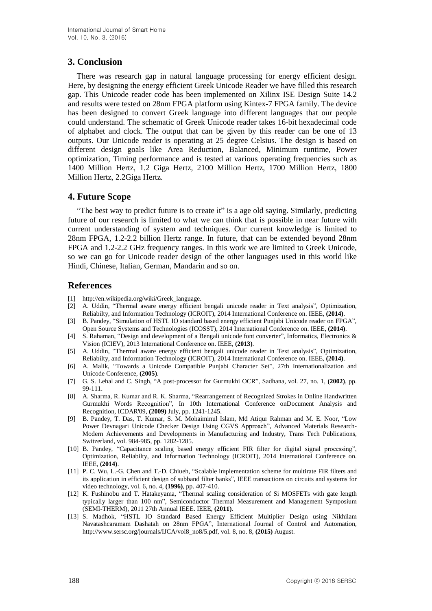# **3. Conclusion**

There was research gap in natural language processing for energy efficient design. Here, by designing the energy efficient Greek Unicode Reader we have filled this research gap. This Unicode reader code has been implemented on Xilinx ISE Design Suite 14.2 and results were tested on 28nm FPGA platform using Kintex-7 FPGA family. The device has been designed to convert Greek language into different languages that our people could understand. The schematic of Greek Unicode reader takes 16-bit hexadecimal code of alphabet and clock. The output that can be given by this reader can be one of 13 outputs. Our Unicode reader is operating at 25 degree Celsius. The design is based on different design goals like Area Reduction, Balanced, Minimum runtime, Power optimization, Timing performance and is tested at various operating frequencies such as 1400 Million Hertz, 1.2 Giga Hertz, 2100 Million Hertz, 1700 Million Hertz, 1800 Million Hertz, 2.2Giga Hertz.

## **4. Future Scope**

"The best way to predict future is to create it" is a age old saying. Similarly, predicting future of our research is limited to what we can think that is possible in near future with current understanding of system and techniques. Our current knowledge is limited to 28nm FPGA, 1.2-2.2 billion Hertz range. In future, that can be extended beyond 28nm FPGA and 1.2-2.2 GHz frequency ranges. In this work we are limited to Greek Unicode, so we can go for Unicode reader design of the other languages used in this world like Hindi, Chinese, Italian, German, Mandarin and so on.

## **References**

- [1] http://en.wikipedia.org/wiki/Greek\_language.
- [2] A. Uddin, "Thermal aware energy efficient bengali unicode reader in Text analysis", Optimization, Reliabilty, and Information Technology (ICROIT), 2014 International Conference on. IEEE, **(2014)**.
- [3] B. Pandey, "Simulation of HSTL IO standard based energy efficient Punjabi Unicode reader on FPGA", Open Source Systems and Technologies (ICOSST), 2014 International Conference on. IEEE, **(2014)**.
- [4] S. Rahaman, "Design and development of a Bengali unicode font converter", Informatics, Electronics & Vision (ICIEV), 2013 International Conference on. IEEE, **(2013)**.
- [5] A. Uddin, "Thermal aware energy efficient bengali unicode reader in Text analysis", Optimization, Reliabilty, and Information Technology (ICROIT), 2014 International Conference on. IEEE, **(2014)**.
- [6] A. Malik, "Towards a Unicode Compatible Punjabi Character Set", 27th Internationalization and Unicode Conference, **(2005)**.
- [7] G. S. Lehal and C. Singh, "A post-processor for Gurmukhi OCR", Sadhana, vol. 27, no. 1, **(2002)**, pp. 99-111.
- [8] A. Sharma, R. Kumar and R. K. Sharma, "Rearrangement of Recognized Strokes in Online Handwritten Gurmukhi Words Recognition", In 10th International Conference onDocument Analysis and Recognition, ICDAR'09, **(2009)** July, pp. 1241-1245.
- [9] B. Pandey, T. Das, T. Kumar, S. M. Mohaiminul Islam, Md Atiqur Rahman and M. E. Noor, "Low Power Devnagari Unicode Checker Design Using CGVS Approach", Advanced Materials Research-Modern Achievements and Developments in Manufacturing and Industry, Trans Tech Publications, Switzerland, vol. 984-985, pp. 1282-1285.
- [10] B. Pandey, "Capacitance scaling based energy efficient FIR filter for digital signal processing", Optimization, Reliabilty, and Information Technology (ICROIT), 2014 International Conference on. IEEE, **(2014)**.
- [11] P. C. Wu, L.-G. Chen and T.-D. Chiueh, "Scalable implementation scheme for multirate FIR filters and its application in efficient design of subband filter banks", IEEE transactions on circuits and systems for video technology, vol. 6, no. 4, **(1996)**, pp. 407-410.
- [12] K. Fushinobu and T. Hatakeyama, "Thermal scaling consideration of Si MOSFETs with gate length typically larger than 100 nm", Semiconductor Thermal Measurement and Management Symposium (SEMI-THERM), 2011 27th Annual IEEE. IEEE, **(2011)**.
- [13] S. Madhok, "HSTL IO Standard Based Energy Efficient Multiplier Design using Nikhilam Navatashcaramam Dashatah on 28nm FPGA", International Journal of Control and Automation, http://www.sersc.org/journals/IJCA/vol8\_no8/5.pdf, vol. 8, no. 8, **(2015)** August.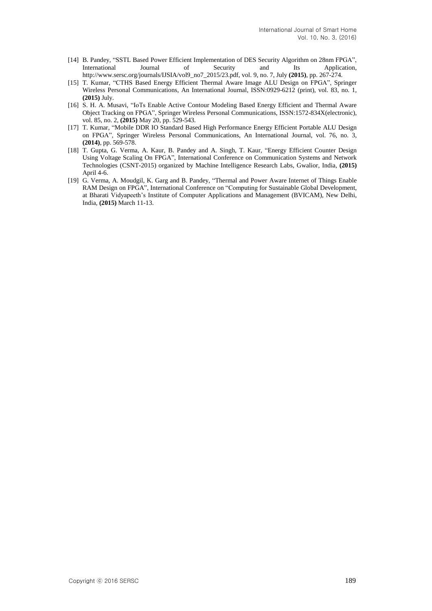- [14] B. Pandey, "SSTL Based Power Efficient Implementation of DES Security Algorithm on 28nm FPGA", Its Application, http://www.sersc.org/journals/IJSIA/vol9\_no7\_2015/23.pdf, vol. 9, no. 7, July **(2015)**, pp. 267-274.
- [15] T. Kumar, "CTHS Based Energy Efficient Thermal Aware Image ALU Design on FPGA", Springer Wireless Personal Communications, An International Journal, ISSN:0929-6212 (print), vol. 83, no. 1, **(2015)** July.
- [16] S. H. A. Musavi, "IoTs Enable Active Contour Modeling Based Energy Efficient and Thermal Aware Object Tracking on FPGA", Springer Wireless Personal Communications, ISSN:1572-834X(electronic), vol. 85, no. 2, **(2015)** May 20, pp. 529-543.
- [17] T. Kumar, "Mobile DDR IO Standard Based High Performance Energy Efficient Portable ALU Design on FPGA", Springer Wireless Personal Communications, An International Journal, vol. 76, no. 3, **(2014)**, pp. 569-578.
- [18] T. Gupta, G. Verma, A. Kaur, B. Pandey and A. Singh, T. Kaur, "Energy Efficient Counter Design Using Voltage Scaling On FPGA", International Conference on Communication Systems and Network Technologies (CSNT-2015) organized by Machine Intelligence Research Labs, Gwalior, India, **(2015)** April 4-6.
- [19] G. Verma, A. Moudgil, K. Garg and B. Pandey, "Thermal and Power Aware Internet of Things Enable RAM Design on FPGA", International Conference on "Computing for Sustainable Global Development, at Bharati Vidyapeeth's Institute of Computer Applications and Management (BVICAM), New Delhi, India, **(2015)** March 11-13.